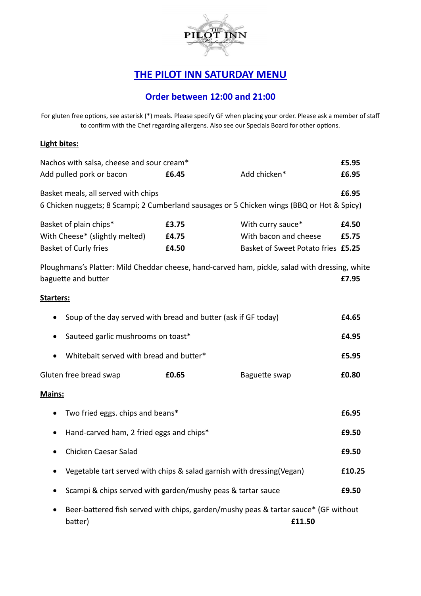

## **THE PILOT INN SATURDAY MENU**

## **Order between 12:00 and 21:00**

For gluten free options, see asterisk (\*) meals. Please specify GF when placing your order. Please ask a member of staff to confirm with the Chef regarding allergens. Also see our Specials Board for other options.

## **Light bites:**

| Nachos with salsa, cheese and sour cream*                                                      |                                                                                     |                                    |       |  |  |  |  |
|------------------------------------------------------------------------------------------------|-------------------------------------------------------------------------------------|------------------------------------|-------|--|--|--|--|
| Add pulled pork or bacon                                                                       | £6.45                                                                               | Add chicken*                       | £6.95 |  |  |  |  |
| Basket meals, all served with chips                                                            |                                                                                     |                                    | £6.95 |  |  |  |  |
| 6 Chicken nuggets; 8 Scampi; 2 Cumberland sausages or 5 Chicken wings (BBQ or Hot & Spicy)     |                                                                                     |                                    |       |  |  |  |  |
| Basket of plain chips*                                                                         | £3.75                                                                               | With curry sauce*                  | £4.50 |  |  |  |  |
| With Cheese* (slightly melted)                                                                 | £4.75                                                                               | With bacon and cheese              | £5.75 |  |  |  |  |
| Basket of Curly fries                                                                          | £4.50                                                                               | Basket of Sweet Potato fries £5.25 |       |  |  |  |  |
| Ploughmans's Platter: Mild Cheddar cheese, hand-carved ham, pickle, salad with dressing, white |                                                                                     |                                    |       |  |  |  |  |
| baguette and butter                                                                            |                                                                                     |                                    | £7.95 |  |  |  |  |
| Starters:                                                                                      |                                                                                     |                                    |       |  |  |  |  |
| Soup of the day served with bread and butter (ask if GF today)                                 |                                                                                     |                                    |       |  |  |  |  |
| Sauteed garlic mushrooms on toast*<br>$\bullet$                                                |                                                                                     |                                    |       |  |  |  |  |
| Whitebait served with bread and butter*                                                        |                                                                                     |                                    |       |  |  |  |  |
| Gluten free bread swap                                                                         | £0.65                                                                               | Baguette swap                      | £0.80 |  |  |  |  |
| Mains:                                                                                         |                                                                                     |                                    |       |  |  |  |  |
| Two fried eggs. chips and beans*                                                               |                                                                                     |                                    |       |  |  |  |  |
| Hand-carved ham, 2 fried eggs and chips*<br>$\bullet$                                          |                                                                                     |                                    |       |  |  |  |  |
| Chicken Caesar Salad<br>$\bullet$                                                              |                                                                                     |                                    |       |  |  |  |  |
| Vegetable tart served with chips & salad garnish with dressing(Vegan)<br>$\bullet$             |                                                                                     |                                    |       |  |  |  |  |
|                                                                                                | Scampi & chips served with garden/mushy peas & tartar sauce                         |                                    |       |  |  |  |  |
|                                                                                                | Beer-battered fish served with chips, garden/mushy peas & tartar sauce* (GF without |                                    |       |  |  |  |  |
| batter)                                                                                        |                                                                                     | £11.50                             |       |  |  |  |  |